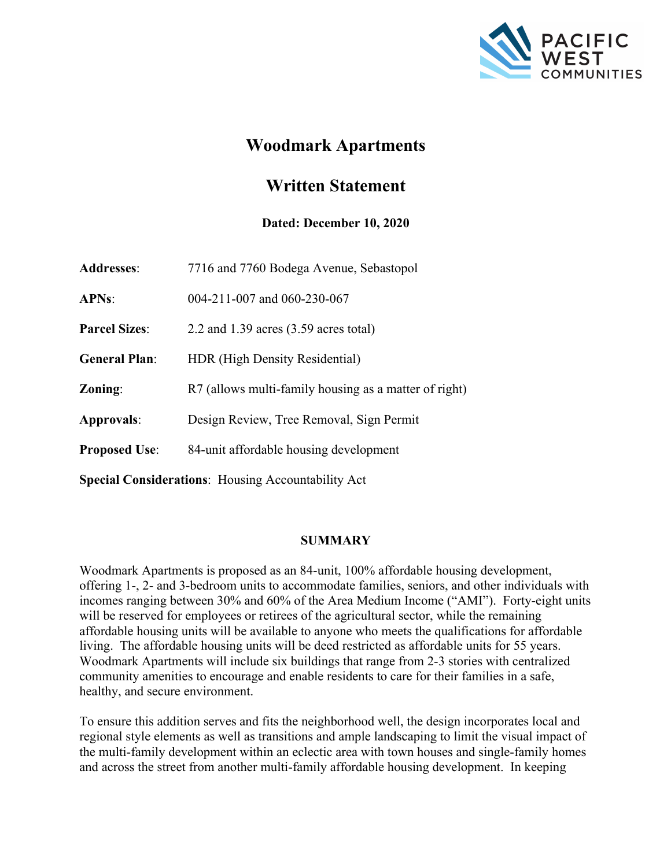

# **Woodmark Apartments**

# **Written Statement**

### **Dated: December 10, 2020**

| <b>Addresses:</b>    | 7716 and 7760 Bodega Avenue, Sebastopol               |
|----------------------|-------------------------------------------------------|
| <b>APNs:</b>         | 004-211-007 and 060-230-067                           |
| <b>Parcel Sizes:</b> | 2.2 and $1.39$ acres $(3.59$ acres total)             |
| <b>General Plan:</b> | HDR (High Density Residential)                        |
| Zoning:              | R7 (allows multi-family housing as a matter of right) |
| Approvals:           | Design Review, Tree Removal, Sign Permit              |
| <b>Proposed Use:</b> | 84-unit affordable housing development                |
|                      |                                                       |

**Special Considerations**: Housing Accountability Act

### **SUMMARY**

Woodmark Apartments is proposed as an 84-unit, 100% affordable housing development, offering 1-, 2- and 3-bedroom units to accommodate families, seniors, and other individuals with incomes ranging between 30% and 60% of the Area Medium Income ("AMI"). Forty-eight units will be reserved for employees or retirees of the agricultural sector, while the remaining affordable housing units will be available to anyone who meets the qualifications for affordable living. The affordable housing units will be deed restricted as affordable units for 55 years. Woodmark Apartments will include six buildings that range from 2-3 stories with centralized community amenities to encourage and enable residents to care for their families in a safe, healthy, and secure environment.

To ensure this addition serves and fits the neighborhood well, the design incorporates local and regional style elements as well as transitions and ample landscaping to limit the visual impact of the multi-family development within an eclectic area with town houses and single-family homes and across the street from another multi-family affordable housing development. In keeping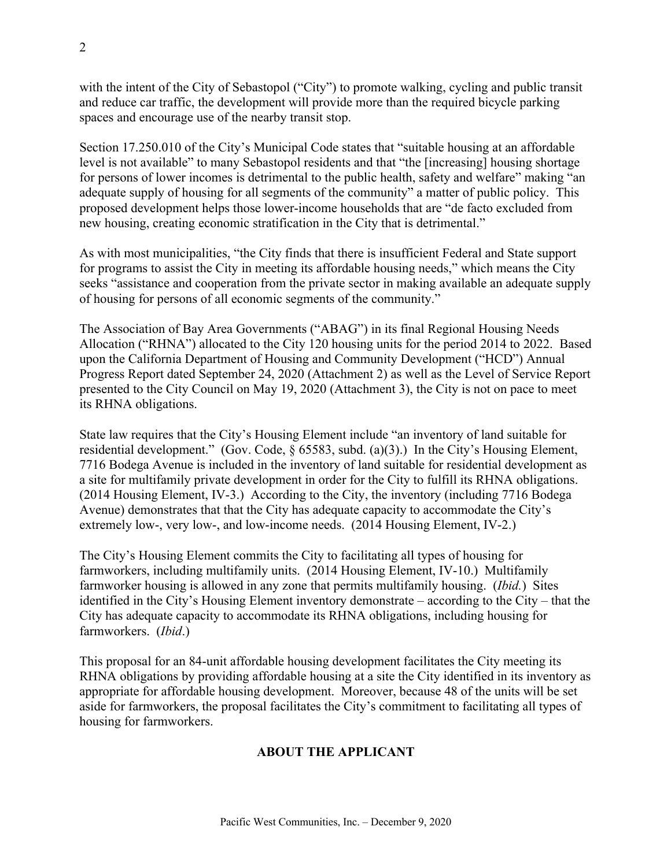with the intent of the City of Sebastopol ("City") to promote walking, cycling and public transit and reduce car traffic, the development will provide more than the required bicycle parking spaces and encourage use of the nearby transit stop.

Section 17.250.010 of the City's Municipal Code states that "suitable housing at an affordable level is not available" to many Sebastopol residents and that "the [increasing] housing shortage for persons of lower incomes is detrimental to the public health, safety and welfare" making "an adequate supply of housing for all segments of the community" a matter of public policy. This proposed development helps those lower-income households that are "de facto excluded from new housing, creating economic stratification in the City that is detrimental."

As with most municipalities, "the City finds that there is insufficient Federal and State support for programs to assist the City in meeting its affordable housing needs," which means the City seeks "assistance and cooperation from the private sector in making available an adequate supply of housing for persons of all economic segments of the community."

The Association of Bay Area Governments ("ABAG") in its final Regional Housing Needs Allocation ("RHNA") allocated to the City 120 housing units for the period 2014 to 2022. Based upon the California Department of Housing and Community Development ("HCD") Annual Progress Report dated September 24, 2020 (Attachment 2) as well as the Level of Service Report presented to the City Council on May 19, 2020 (Attachment 3), the City is not on pace to meet its RHNA obligations.

State law requires that the City's Housing Element include "an inventory of land suitable for residential development." (Gov. Code, § 65583, subd. (a)(3).) In the City's Housing Element, 7716 Bodega Avenue is included in the inventory of land suitable for residential development as a site for multifamily private development in order for the City to fulfill its RHNA obligations. (2014 Housing Element, IV-3.) According to the City, the inventory (including 7716 Bodega Avenue) demonstrates that that the City has adequate capacity to accommodate the City's extremely low-, very low-, and low-income needs. (2014 Housing Element, IV-2.)

The City's Housing Element commits the City to facilitating all types of housing for farmworkers, including multifamily units. (2014 Housing Element, IV-10.) Multifamily farmworker housing is allowed in any zone that permits multifamily housing. (*Ibid.*) Sites identified in the City's Housing Element inventory demonstrate – according to the City – that the City has adequate capacity to accommodate its RHNA obligations, including housing for farmworkers. (*Ibid*.)

This proposal for an 84-unit affordable housing development facilitates the City meeting its RHNA obligations by providing affordable housing at a site the City identified in its inventory as appropriate for affordable housing development. Moreover, because 48 of the units will be set aside for farmworkers, the proposal facilitates the City's commitment to facilitating all types of housing for farmworkers.

### **ABOUT THE APPLICANT**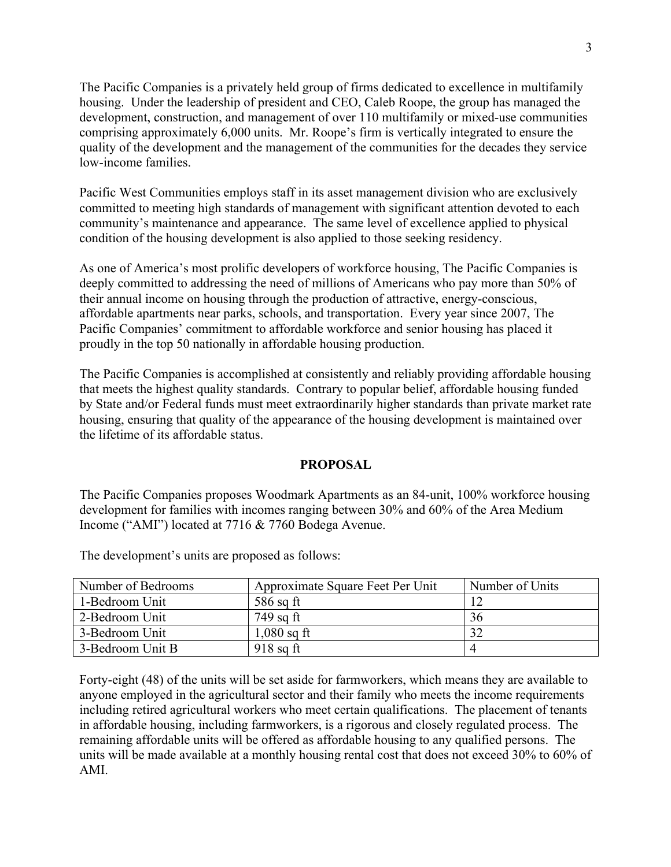The Pacific Companies is a privately held group of firms dedicated to excellence in multifamily housing. Under the leadership of president and CEO, Caleb Roope, the group has managed the development, construction, and management of over 110 multifamily or mixed-use communities comprising approximately 6,000 units. Mr. Roope's firm is vertically integrated to ensure the quality of the development and the management of the communities for the decades they service low-income families.

Pacific West Communities employs staff in its asset management division who are exclusively committed to meeting high standards of management with significant attention devoted to each community's maintenance and appearance. The same level of excellence applied to physical condition of the housing development is also applied to those seeking residency.

As one of America's most prolific developers of workforce housing, The Pacific Companies is deeply committed to addressing the need of millions of Americans who pay more than 50% of their annual income on housing through the production of attractive, energy-conscious, affordable apartments near parks, schools, and transportation. Every year since 2007, The Pacific Companies' commitment to affordable workforce and senior housing has placed it proudly in the top 50 nationally in affordable housing production.

The Pacific Companies is accomplished at consistently and reliably providing affordable housing that meets the highest quality standards. Contrary to popular belief, affordable housing funded by State and/or Federal funds must meet extraordinarily higher standards than private market rate housing, ensuring that quality of the appearance of the housing development is maintained over the lifetime of its affordable status.

#### **PROPOSAL**

The Pacific Companies proposes Woodmark Apartments as an 84-unit, 100% workforce housing development for families with incomes ranging between 30% and 60% of the Area Medium Income ("AMI") located at 7716 & 7760 Bodega Avenue.

| Number of Bedrooms | Approximate Square Feet Per Unit | Number of Units |
|--------------------|----------------------------------|-----------------|
| 1-Bedroom Unit     | $586$ sq ft                      |                 |
| 2-Bedroom Unit     | $749$ sq ft                      | 36              |
| 3-Bedroom Unit     | $1,080$ sq ft                    |                 |
| 3-Bedroom Unit B   | $918$ sq ft                      |                 |

The development's units are proposed as follows:

Forty-eight (48) of the units will be set aside for farmworkers, which means they are available to anyone employed in the agricultural sector and their family who meets the income requirements including retired agricultural workers who meet certain qualifications. The placement of tenants in affordable housing, including farmworkers, is a rigorous and closely regulated process. The remaining affordable units will be offered as affordable housing to any qualified persons. The units will be made available at a monthly housing rental cost that does not exceed 30% to 60% of AMI.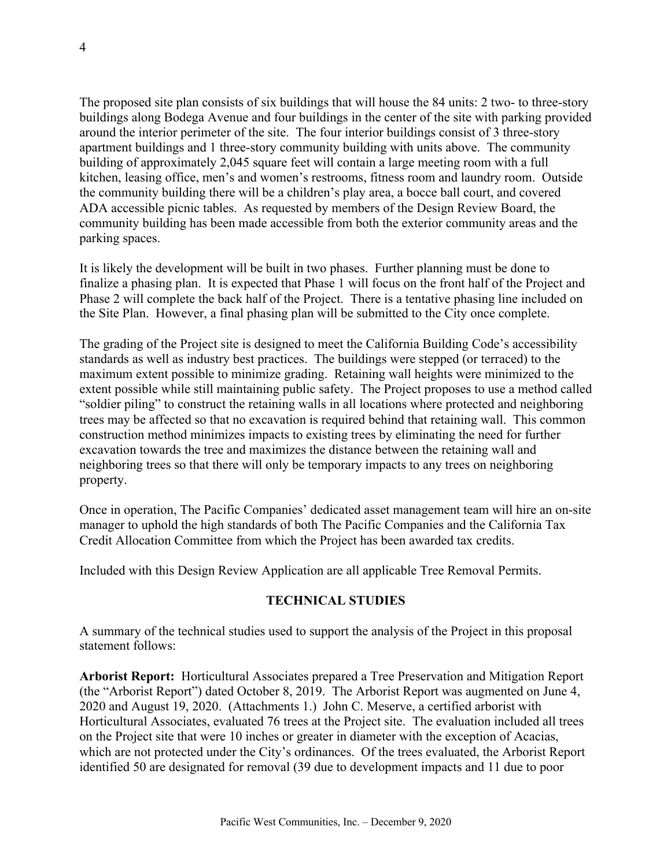The proposed site plan consists of six buildings that will house the 84 units: 2 two- to three-story buildings along Bodega Avenue and four buildings in the center of the site with parking provided around the interior perimeter of the site. The four interior buildings consist of 3 three-story apartment buildings and 1 three-story community building with units above. The community building of approximately 2,045 square feet will contain a large meeting room with a full kitchen, leasing office, men's and women's restrooms, fitness room and laundry room. Outside the community building there will be a children's play area, a bocce ball court, and covered ADA accessible picnic tables. As requested by members of the Design Review Board, the community building has been made accessible from both the exterior community areas and the parking spaces.

It is likely the development will be built in two phases. Further planning must be done to finalize a phasing plan. It is expected that Phase 1 will focus on the front half of the Project and Phase 2 will complete the back half of the Project. There is a tentative phasing line included on the Site Plan. However, a final phasing plan will be submitted to the City once complete.

The grading of the Project site is designed to meet the California Building Code's accessibility standards as well as industry best practices. The buildings were stepped (or terraced) to the maximum extent possible to minimize grading. Retaining wall heights were minimized to the extent possible while still maintaining public safety. The Project proposes to use a method called "soldier piling" to construct the retaining walls in all locations where protected and neighboring trees may be affected so that no excavation is required behind that retaining wall. This common construction method minimizes impacts to existing trees by eliminating the need for further excavation towards the tree and maximizes the distance between the retaining wall and neighboring trees so that there will only be temporary impacts to any trees on neighboring property.

Once in operation, The Pacific Companies' dedicated asset management team will hire an on-site manager to uphold the high standards of both The Pacific Companies and the California Tax Credit Allocation Committee from which the Project has been awarded tax credits.

Included with this Design Review Application are all applicable Tree Removal Permits.

#### **TECHNICAL STUDIES**

A summary of the technical studies used to support the analysis of the Project in this proposal statement follows:

**Arborist Report:** Horticultural Associates prepared a Tree Preservation and Mitigation Report (the "Arborist Report") dated October 8, 2019. The Arborist Report was augmented on June 4, 2020 and August 19, 2020. (Attachments 1.) John C. Meserve, a certified arborist with Horticultural Associates, evaluated 76 trees at the Project site. The evaluation included all trees on the Project site that were 10 inches or greater in diameter with the exception of Acacias, which are not protected under the City's ordinances. Of the trees evaluated, the Arborist Report identified 50 are designated for removal (39 due to development impacts and 11 due to poor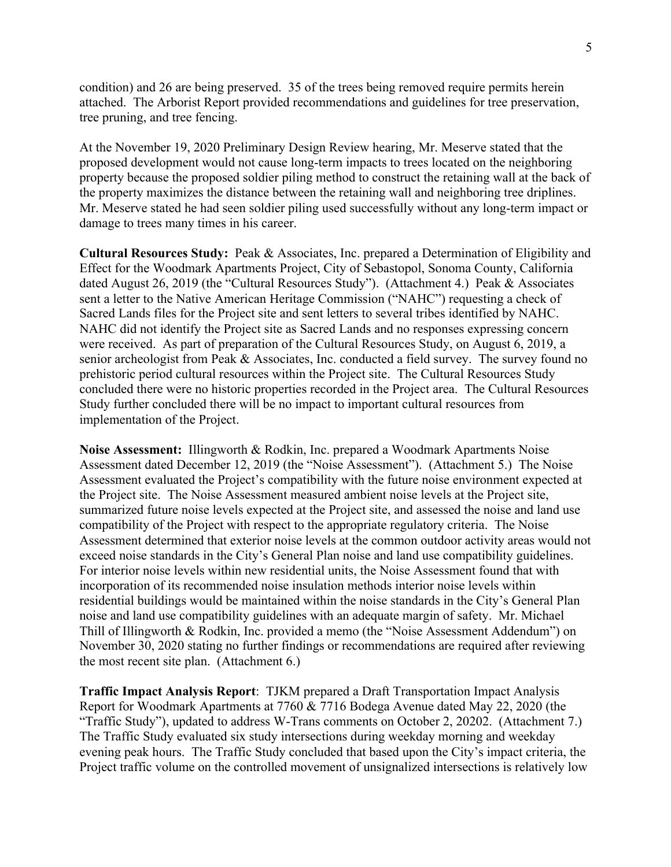condition) and 26 are being preserved. 35 of the trees being removed require permits herein attached. The Arborist Report provided recommendations and guidelines for tree preservation, tree pruning, and tree fencing.

At the November 19, 2020 Preliminary Design Review hearing, Mr. Meserve stated that the proposed development would not cause long-term impacts to trees located on the neighboring property because the proposed soldier piling method to construct the retaining wall at the back of the property maximizes the distance between the retaining wall and neighboring tree driplines. Mr. Meserve stated he had seen soldier piling used successfully without any long-term impact or damage to trees many times in his career.

**Cultural Resources Study:** Peak & Associates, Inc. prepared a Determination of Eligibility and Effect for the Woodmark Apartments Project, City of Sebastopol, Sonoma County, California dated August 26, 2019 (the "Cultural Resources Study"). (Attachment 4.) Peak & Associates sent a letter to the Native American Heritage Commission ("NAHC") requesting a check of Sacred Lands files for the Project site and sent letters to several tribes identified by NAHC. NAHC did not identify the Project site as Sacred Lands and no responses expressing concern were received. As part of preparation of the Cultural Resources Study, on August 6, 2019, a senior archeologist from Peak & Associates, Inc. conducted a field survey. The survey found no prehistoric period cultural resources within the Project site. The Cultural Resources Study concluded there were no historic properties recorded in the Project area. The Cultural Resources Study further concluded there will be no impact to important cultural resources from implementation of the Project.

**Noise Assessment:** Illingworth & Rodkin, Inc. prepared a Woodmark Apartments Noise Assessment dated December 12, 2019 (the "Noise Assessment"). (Attachment 5.) The Noise Assessment evaluated the Project's compatibility with the future noise environment expected at the Project site. The Noise Assessment measured ambient noise levels at the Project site, summarized future noise levels expected at the Project site, and assessed the noise and land use compatibility of the Project with respect to the appropriate regulatory criteria. The Noise Assessment determined that exterior noise levels at the common outdoor activity areas would not exceed noise standards in the City's General Plan noise and land use compatibility guidelines. For interior noise levels within new residential units, the Noise Assessment found that with incorporation of its recommended noise insulation methods interior noise levels within residential buildings would be maintained within the noise standards in the City's General Plan noise and land use compatibility guidelines with an adequate margin of safety. Mr. Michael Thill of Illingworth & Rodkin, Inc. provided a memo (the "Noise Assessment Addendum") on November 30, 2020 stating no further findings or recommendations are required after reviewing the most recent site plan. (Attachment 6.)

**Traffic Impact Analysis Report**: TJKM prepared a Draft Transportation Impact Analysis Report for Woodmark Apartments at 7760 & 7716 Bodega Avenue dated May 22, 2020 (the "Traffic Study"), updated to address W-Trans comments on October 2, 20202. (Attachment 7.) The Traffic Study evaluated six study intersections during weekday morning and weekday evening peak hours. The Traffic Study concluded that based upon the City's impact criteria, the Project traffic volume on the controlled movement of unsignalized intersections is relatively low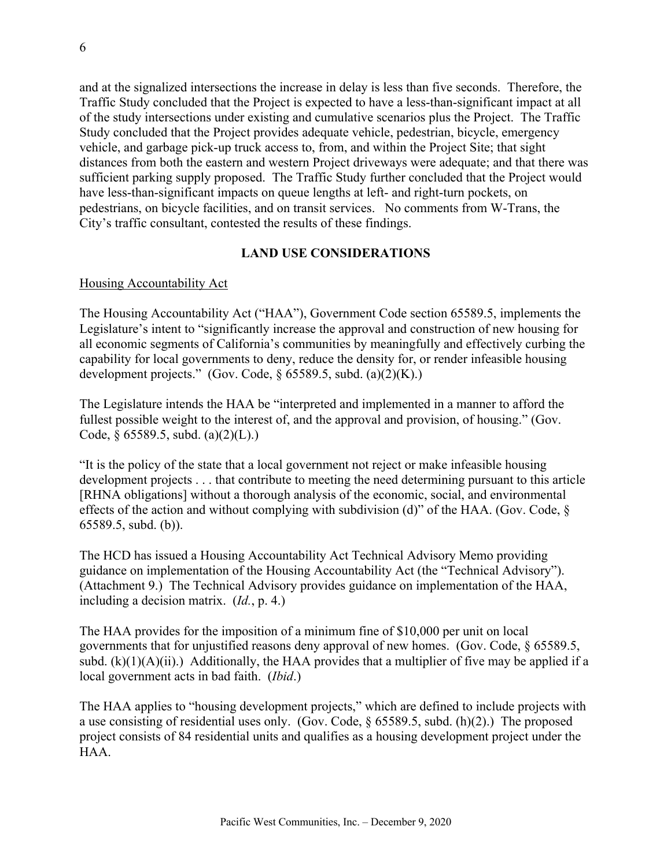and at the signalized intersections the increase in delay is less than five seconds. Therefore, the Traffic Study concluded that the Project is expected to have a less-than-significant impact at all of the study intersections under existing and cumulative scenarios plus the Project. The Traffic Study concluded that the Project provides adequate vehicle, pedestrian, bicycle, emergency vehicle, and garbage pick-up truck access to, from, and within the Project Site; that sight distances from both the eastern and western Project driveways were adequate; and that there was sufficient parking supply proposed. The Traffic Study further concluded that the Project would have less-than-significant impacts on queue lengths at left- and right-turn pockets, on pedestrians, on bicycle facilities, and on transit services. No comments from W-Trans, the City's traffic consultant, contested the results of these findings.

#### **LAND USE CONSIDERATIONS**

#### Housing Accountability Act

The Housing Accountability Act ("HAA"), Government Code section 65589.5, implements the Legislature's intent to "significantly increase the approval and construction of new housing for all economic segments of California's communities by meaningfully and effectively curbing the capability for local governments to deny, reduce the density for, or render infeasible housing development projects." (Gov. Code,  $\S$  65589.5, subd. (a)(2)(K).)

The Legislature intends the HAA be "interpreted and implemented in a manner to afford the fullest possible weight to the interest of, and the approval and provision, of housing." (Gov. Code, § 65589.5, subd. (a)(2)(L).)

"It is the policy of the state that a local government not reject or make infeasible housing development projects . . . that contribute to meeting the need determining pursuant to this article [RHNA obligations] without a thorough analysis of the economic, social, and environmental effects of the action and without complying with subdivision (d)" of the HAA. (Gov. Code, § 65589.5, subd. (b)).

The HCD has issued a Housing Accountability Act Technical Advisory Memo providing guidance on implementation of the Housing Accountability Act (the "Technical Advisory"). (Attachment 9.) The Technical Advisory provides guidance on implementation of the HAA, including a decision matrix. (*Id.*, p. 4.)

The HAA provides for the imposition of a minimum fine of \$10,000 per unit on local governments that for unjustified reasons deny approval of new homes. (Gov. Code, § 65589.5, subd.  $(k)(1)(A)(ii)$ .) Additionally, the HAA provides that a multiplier of five may be applied if a local government acts in bad faith. (*Ibid*.)

The HAA applies to "housing development projects," which are defined to include projects with a use consisting of residential uses only. (Gov. Code, § 65589.5, subd. (h)(2).) The proposed project consists of 84 residential units and qualifies as a housing development project under the HAA.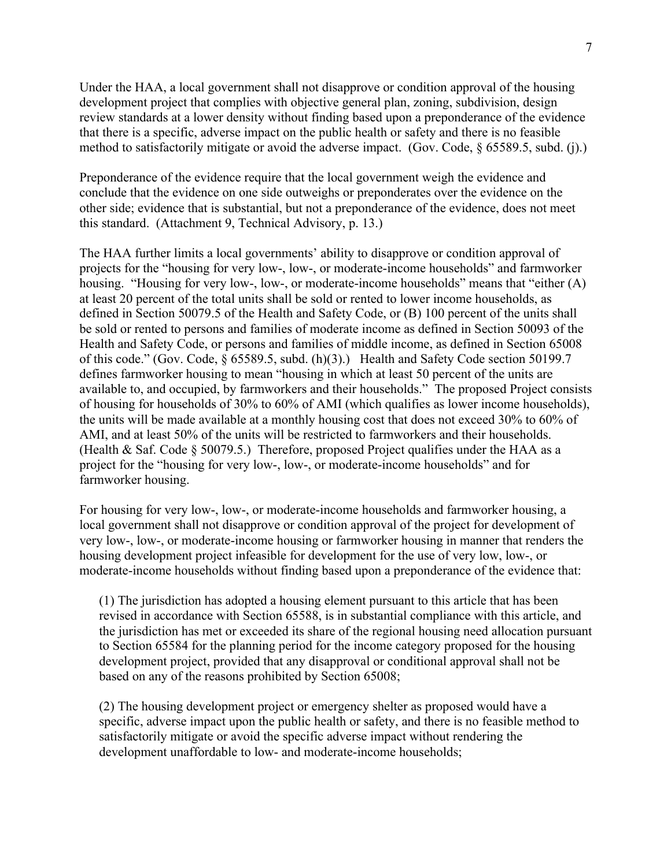Under the HAA, a local government shall not disapprove or condition approval of the housing development project that complies with objective general plan, zoning, subdivision, design review standards at a lower density without finding based upon a preponderance of the evidence that there is a specific, adverse impact on the public health or safety and there is no feasible method to satisfactorily mitigate or avoid the adverse impact. (Gov. Code, § 65589.5, subd. (j).)

Preponderance of the evidence require that the local government weigh the evidence and conclude that the evidence on one side outweighs or preponderates over the evidence on the other side; evidence that is substantial, but not a preponderance of the evidence, does not meet this standard. (Attachment 9, Technical Advisory, p. 13.)

The HAA further limits a local governments' ability to disapprove or condition approval of projects for the "housing for very low-, low-, or moderate-income households" and farmworker housing. "Housing for very low-, low-, or moderate-income households" means that "either (A) at least 20 percent of the total units shall be sold or rented to lower income households, as defined in Section 50079.5 of the Health and Safety Code, or (B) 100 percent of the units shall be sold or rented to persons and families of moderate income as defined in Section 50093 of the Health and Safety Code, or persons and families of middle income, as defined in Section 65008 of this code." (Gov. Code, § 65589.5, subd. (h)(3).) Health and Safety Code section 50199.7 defines farmworker housing to mean "housing in which at least 50 percent of the units are available to, and occupied, by farmworkers and their households." The proposed Project consists of housing for households of 30% to 60% of AMI (which qualifies as lower income households), the units will be made available at a monthly housing cost that does not exceed 30% to 60% of AMI, and at least 50% of the units will be restricted to farmworkers and their households. (Health & Saf. Code  $\S 50079.5$ .) Therefore, proposed Project qualifies under the HAA as a project for the "housing for very low-, low-, or moderate-income households" and for farmworker housing.

For housing for very low-, low-, or moderate-income households and farmworker housing, a local government shall not disapprove or condition approval of the project for development of very low-, low-, or moderate-income housing or farmworker housing in manner that renders the housing development project infeasible for development for the use of very low, low-, or moderate-income households without finding based upon a preponderance of the evidence that:

(1) The jurisdiction has adopted a housing element pursuant to this article that has been revised in accordance with Section 65588, is in substantial compliance with this article, and the jurisdiction has met or exceeded its share of the regional housing need allocation pursuant to Section 65584 for the planning period for the income category proposed for the housing development project, provided that any disapproval or conditional approval shall not be based on any of the reasons prohibited by Section 65008;

(2) The housing development project or emergency shelter as proposed would have a specific, adverse impact upon the public health or safety, and there is no feasible method to satisfactorily mitigate or avoid the specific adverse impact without rendering the development unaffordable to low- and moderate-income households;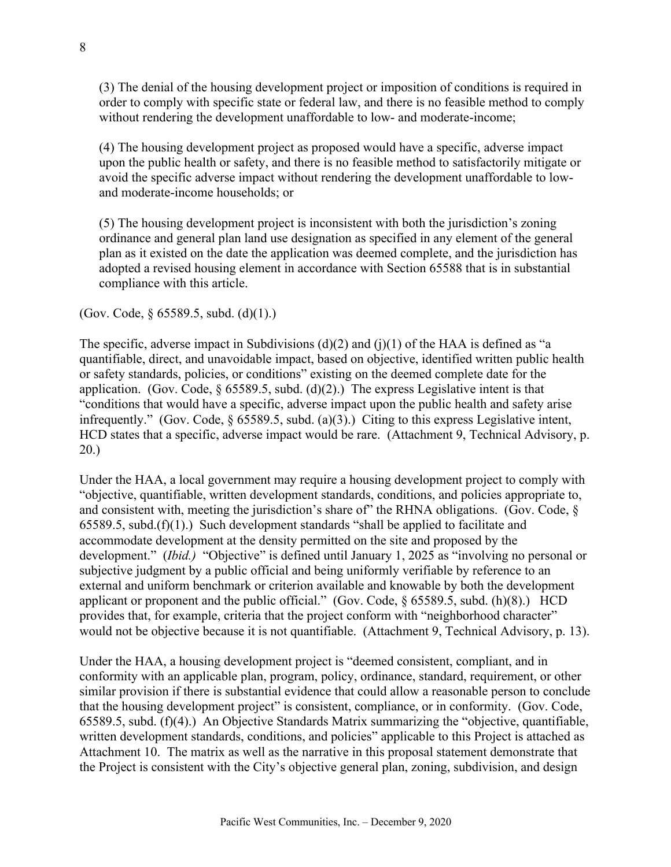(3) The denial of the housing development project or imposition of conditions is required in order to comply with specific state or federal law, and there is no feasible method to comply without rendering the development unaffordable to low- and moderate-income;

(4) The housing development project as proposed would have a specific, adverse impact upon the public health or safety, and there is no feasible method to satisfactorily mitigate or avoid the specific adverse impact without rendering the development unaffordable to lowand moderate-income households; or

(5) The housing development project is inconsistent with both the jurisdiction's zoning ordinance and general plan land use designation as specified in any element of the general plan as it existed on the date the application was deemed complete, and the jurisdiction has adopted a revised housing element in accordance with Section 65588 that is in substantial compliance with this article.

(Gov. Code, § 65589.5, subd. (d)(1).)

The specific, adverse impact in Subdivisions  $(d)(2)$  and  $(j)(1)$  of the HAA is defined as "a quantifiable, direct, and unavoidable impact, based on objective, identified written public health or safety standards, policies, or conditions" existing on the deemed complete date for the application. (Gov. Code,  $\S 65589.5$ , subd. (d)(2).) The express Legislative intent is that "conditions that would have a specific, adverse impact upon the public health and safety arise infrequently." (Gov. Code, § 65589.5, subd. (a)(3).) Citing to this express Legislative intent, HCD states that a specific, adverse impact would be rare. (Attachment 9, Technical Advisory, p. 20.)

Under the HAA, a local government may require a housing development project to comply with "objective, quantifiable, written development standards, conditions, and policies appropriate to, and consistent with, meeting the jurisdiction's share of the RHNA obligations. (Gov. Code,  $\S$ )  $65589.5$ , subd. $(f)(1)$ .) Such development standards "shall be applied to facilitate and accommodate development at the density permitted on the site and proposed by the development." (*Ibid.)* "Objective" is defined until January 1, 2025 as "involving no personal or subjective judgment by a public official and being uniformly verifiable by reference to an external and uniform benchmark or criterion available and knowable by both the development applicant or proponent and the public official." (Gov. Code, § 65589.5, subd. (h)(8).) HCD provides that, for example, criteria that the project conform with "neighborhood character" would not be objective because it is not quantifiable. (Attachment 9, Technical Advisory, p. 13).

Under the HAA, a housing development project is "deemed consistent, compliant, and in conformity with an applicable plan, program, policy, ordinance, standard, requirement, or other similar provision if there is substantial evidence that could allow a reasonable person to conclude that the housing development project" is consistent, compliance, or in conformity. (Gov. Code, 65589.5, subd. (f)(4).) An Objective Standards Matrix summarizing the "objective, quantifiable, written development standards, conditions, and policies" applicable to this Project is attached as Attachment 10. The matrix as well as the narrative in this proposal statement demonstrate that the Project is consistent with the City's objective general plan, zoning, subdivision, and design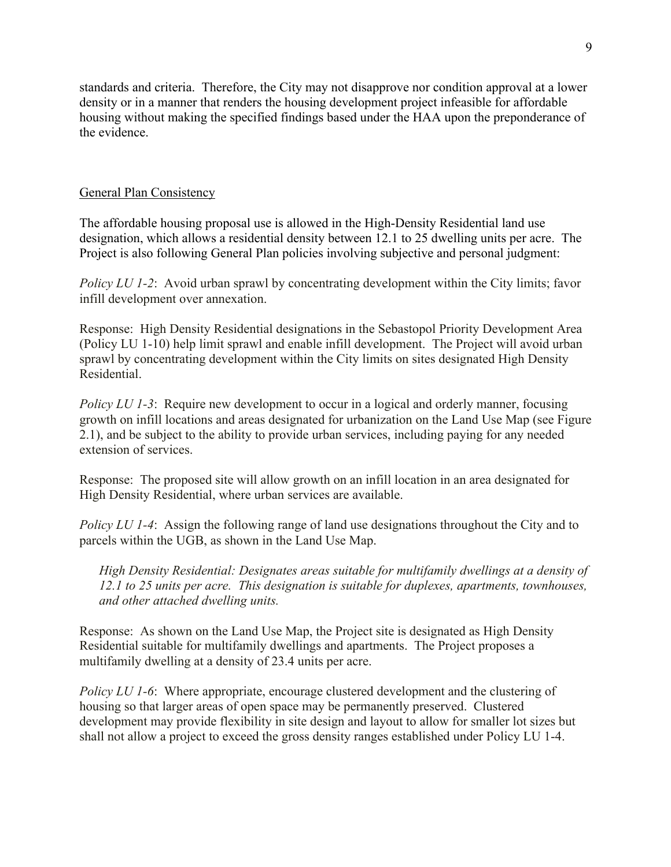standards and criteria. Therefore, the City may not disapprove nor condition approval at a lower density or in a manner that renders the housing development project infeasible for affordable housing without making the specified findings based under the HAA upon the preponderance of the evidence.

#### General Plan Consistency

The affordable housing proposal use is allowed in the High-Density Residential land use designation, which allows a residential density between 12.1 to 25 dwelling units per acre. The Project is also following General Plan policies involving subjective and personal judgment:

*Policy LU 1-2*: Avoid urban sprawl by concentrating development within the City limits; favor infill development over annexation.

Response: High Density Residential designations in the Sebastopol Priority Development Area (Policy LU 1-10) help limit sprawl and enable infill development. The Project will avoid urban sprawl by concentrating development within the City limits on sites designated High Density Residential.

*Policy LU 1-3*: Require new development to occur in a logical and orderly manner, focusing growth on infill locations and areas designated for urbanization on the Land Use Map (see Figure 2.1), and be subject to the ability to provide urban services, including paying for any needed extension of services.

Response: The proposed site will allow growth on an infill location in an area designated for High Density Residential, where urban services are available.

*Policy LU 1-4*: Assign the following range of land use designations throughout the City and to parcels within the UGB, as shown in the Land Use Map.

*High Density Residential: Designates areas suitable for multifamily dwellings at a density of 12.1 to 25 units per acre. This designation is suitable for duplexes, apartments, townhouses, and other attached dwelling units.*

Response: As shown on the Land Use Map, the Project site is designated as High Density Residential suitable for multifamily dwellings and apartments. The Project proposes a multifamily dwelling at a density of 23.4 units per acre.

*Policy LU 1-6*: Where appropriate, encourage clustered development and the clustering of housing so that larger areas of open space may be permanently preserved. Clustered development may provide flexibility in site design and layout to allow for smaller lot sizes but shall not allow a project to exceed the gross density ranges established under Policy LU 1-4.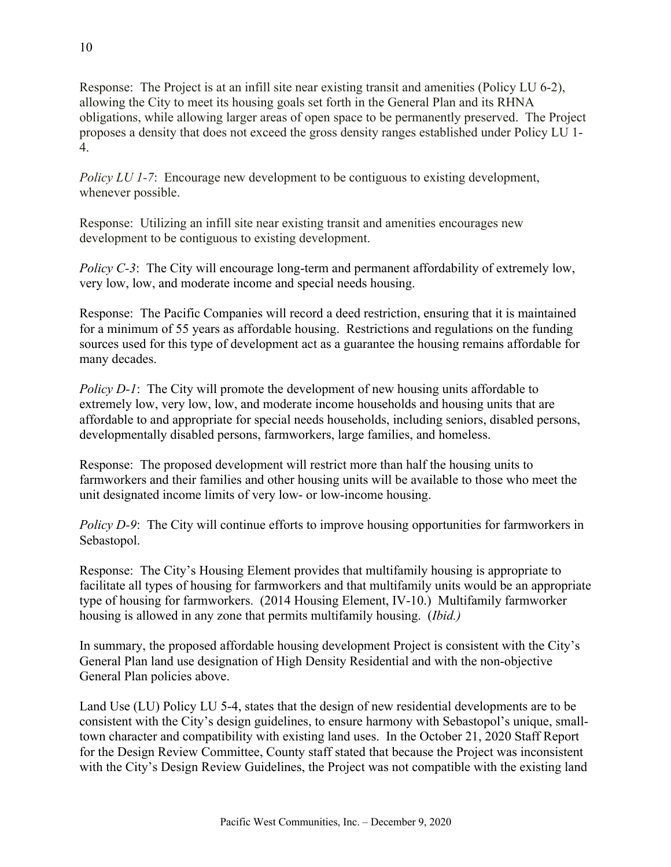Response: The Project is at an infill site near existing transit and amenities (Policy LU 6-2), allowing the City to meet its housing goals set forth in the General Plan and its RHNA obligations, while allowing larger areas of open space to be permanently preserved. The Project proposes a density that does not exceed the gross density ranges established under Policy LU 1- 4.

*Policy LU 1-7*: Encourage new development to be contiguous to existing development, whenever possible.

Response: Utilizing an infill site near existing transit and amenities encourages new development to be contiguous to existing development.

*Policy C-3*: The City will encourage long-term and permanent affordability of extremely low, very low, low, and moderate income and special needs housing.

Response: The Pacific Companies will record a deed restriction, ensuring that it is maintained for a minimum of 55 years as affordable housing. Restrictions and regulations on the funding sources used for this type of development act as a guarantee the housing remains affordable for many decades.

*Policy D-1*: The City will promote the development of new housing units affordable to extremely low, very low, low, and moderate income households and housing units that are affordable to and appropriate for special needs households, including seniors, disabled persons, developmentally disabled persons, farmworkers, large families, and homeless.

Response: The proposed development will restrict more than half the housing units to farmworkers and their families and other housing units will be available to those who meet the unit designated income limits of very low- or low-income housing.

*Policy D-9*: The City will continue efforts to improve housing opportunities for farmworkers in Sebastopol.

Response: The City's Housing Element provides that multifamily housing is appropriate to facilitate all types of housing for farmworkers and that multifamily units would be an appropriate type of housing for farmworkers. (2014 Housing Element, IV-10.) Multifamily farmworker housing is allowed in any zone that permits multifamily housing. (*Ibid.)*

In summary, the proposed affordable housing development Project is consistent with the City's General Plan land use designation of High Density Residential and with the non-objective General Plan policies above.

Land Use (LU) Policy LU 5-4, states that the design of new residential developments are to be consistent with the City's design guidelines, to ensure harmony with Sebastopol's unique, smalltown character and compatibility with existing land uses. In the October 21, 2020 Staff Report for the Design Review Committee, County staff stated that because the Project was inconsistent with the City's Design Review Guidelines, the Project was not compatible with the existing land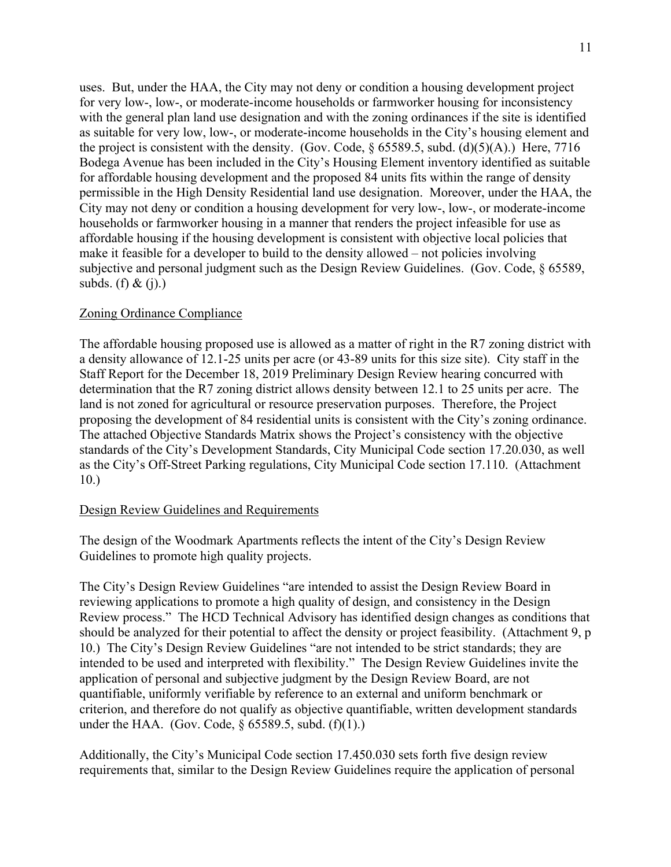uses. But, under the HAA, the City may not deny or condition a housing development project for very low-, low-, or moderate-income households or farmworker housing for inconsistency with the general plan land use designation and with the zoning ordinances if the site is identified as suitable for very low, low-, or moderate-income households in the City's housing element and the project is consistent with the density. (Gov. Code, § 65589.5, subd. (d)(5)(A).) Here, 7716 Bodega Avenue has been included in the City's Housing Element inventory identified as suitable for affordable housing development and the proposed 84 units fits within the range of density permissible in the High Density Residential land use designation. Moreover, under the HAA, the City may not deny or condition a housing development for very low-, low-, or moderate-income households or farmworker housing in a manner that renders the project infeasible for use as affordable housing if the housing development is consistent with objective local policies that make it feasible for a developer to build to the density allowed – not policies involving subjective and personal judgment such as the Design Review Guidelines. (Gov. Code, § 65589, subds. (f) & (j).)

#### Zoning Ordinance Compliance

The affordable housing proposed use is allowed as a matter of right in the R7 zoning district with a density allowance of 12.1-25 units per acre (or 43-89 units for this size site). City staff in the Staff Report for the December 18, 2019 Preliminary Design Review hearing concurred with determination that the R7 zoning district allows density between 12.1 to 25 units per acre. The land is not zoned for agricultural or resource preservation purposes. Therefore, the Project proposing the development of 84 residential units is consistent with the City's zoning ordinance. The attached Objective Standards Matrix shows the Project's consistency with the objective standards of the City's Development Standards, City Municipal Code section 17.20.030, as well as the City's Off-Street Parking regulations, City Municipal Code section 17.110. (Attachment 10.)

#### Design Review Guidelines and Requirements

The design of the Woodmark Apartments reflects the intent of the City's Design Review Guidelines to promote high quality projects.

The City's Design Review Guidelines "are intended to assist the Design Review Board in reviewing applications to promote a high quality of design, and consistency in the Design Review process." The HCD Technical Advisory has identified design changes as conditions that should be analyzed for their potential to affect the density or project feasibility. (Attachment 9, p 10.) The City's Design Review Guidelines "are not intended to be strict standards; they are intended to be used and interpreted with flexibility." The Design Review Guidelines invite the application of personal and subjective judgment by the Design Review Board, are not quantifiable, uniformly verifiable by reference to an external and uniform benchmark or criterion, and therefore do not qualify as objective quantifiable, written development standards under the HAA. (Gov. Code,  $\S$  65589.5, subd. (f)(1).)

Additionally, the City's Municipal Code section 17.450.030 sets forth five design review requirements that, similar to the Design Review Guidelines require the application of personal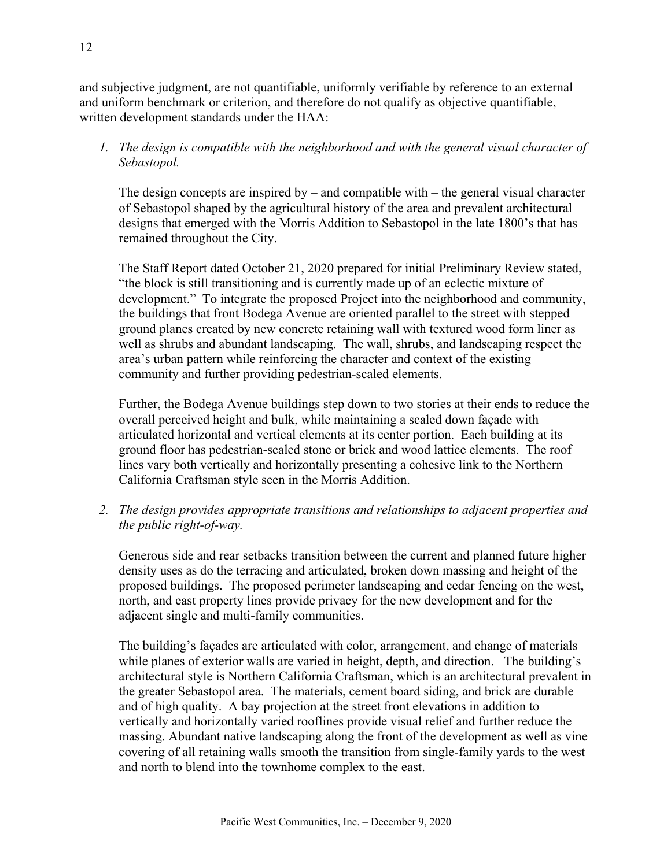and subjective judgment, are not quantifiable, uniformly verifiable by reference to an external and uniform benchmark or criterion, and therefore do not qualify as objective quantifiable, written development standards under the HAA:

*1. The design is compatible with the neighborhood and with the general visual character of Sebastopol.*

The design concepts are inspired by – and compatible with – the general visual character of Sebastopol shaped by the agricultural history of the area and prevalent architectural designs that emerged with the Morris Addition to Sebastopol in the late 1800's that has remained throughout the City.

The Staff Report dated October 21, 2020 prepared for initial Preliminary Review stated, "the block is still transitioning and is currently made up of an eclectic mixture of development." To integrate the proposed Project into the neighborhood and community, the buildings that front Bodega Avenue are oriented parallel to the street with stepped ground planes created by new concrete retaining wall with textured wood form liner as well as shrubs and abundant landscaping. The wall, shrubs, and landscaping respect the area's urban pattern while reinforcing the character and context of the existing community and further providing pedestrian-scaled elements.

Further, the Bodega Avenue buildings step down to two stories at their ends to reduce the overall perceived height and bulk, while maintaining a scaled down façade with articulated horizontal and vertical elements at its center portion. Each building at its ground floor has pedestrian-scaled stone or brick and wood lattice elements. The roof lines vary both vertically and horizontally presenting a cohesive link to the Northern California Craftsman style seen in the Morris Addition.

*2. The design provides appropriate transitions and relationships to adjacent properties and the public right-of-way.*

Generous side and rear setbacks transition between the current and planned future higher density uses as do the terracing and articulated, broken down massing and height of the proposed buildings. The proposed perimeter landscaping and cedar fencing on the west, north, and east property lines provide privacy for the new development and for the adjacent single and multi-family communities.

The building's façades are articulated with color, arrangement, and change of materials while planes of exterior walls are varied in height, depth, and direction. The building's architectural style is Northern California Craftsman, which is an architectural prevalent in the greater Sebastopol area. The materials, cement board siding, and brick are durable and of high quality. A bay projection at the street front elevations in addition to vertically and horizontally varied rooflines provide visual relief and further reduce the massing. Abundant native landscaping along the front of the development as well as vine covering of all retaining walls smooth the transition from single-family yards to the west and north to blend into the townhome complex to the east.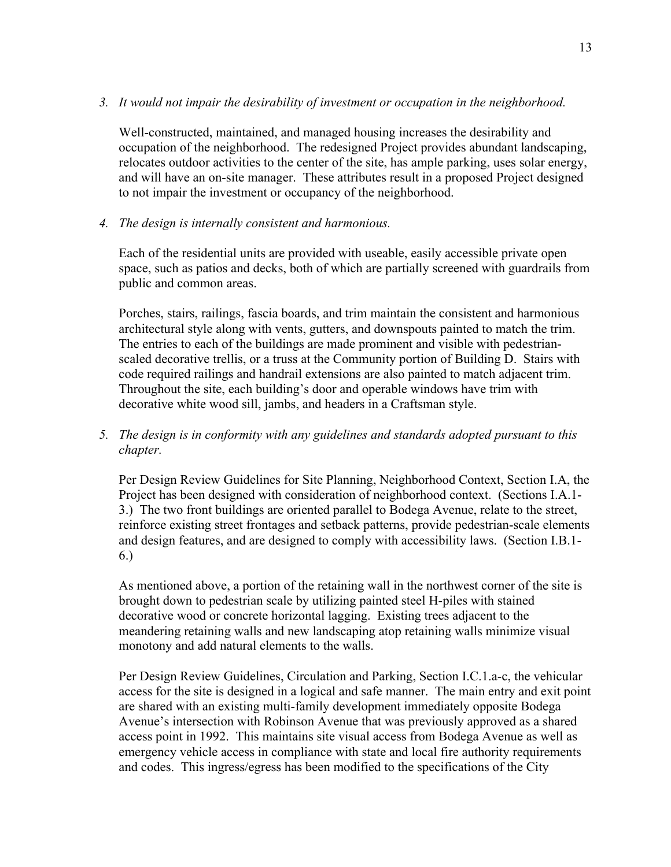#### *3. It would not impair the desirability of investment or occupation in the neighborhood.*

Well-constructed, maintained, and managed housing increases the desirability and occupation of the neighborhood. The redesigned Project provides abundant landscaping, relocates outdoor activities to the center of the site, has ample parking, uses solar energy, and will have an on-site manager. These attributes result in a proposed Project designed to not impair the investment or occupancy of the neighborhood.

*4. The design is internally consistent and harmonious.*

Each of the residential units are provided with useable, easily accessible private open space, such as patios and decks, both of which are partially screened with guardrails from public and common areas.

Porches, stairs, railings, fascia boards, and trim maintain the consistent and harmonious architectural style along with vents, gutters, and downspouts painted to match the trim. The entries to each of the buildings are made prominent and visible with pedestrianscaled decorative trellis, or a truss at the Community portion of Building D. Stairs with code required railings and handrail extensions are also painted to match adjacent trim. Throughout the site, each building's door and operable windows have trim with decorative white wood sill, jambs, and headers in a Craftsman style.

*5. The design is in conformity with any guidelines and standards adopted pursuant to this chapter.*

Per Design Review Guidelines for Site Planning, Neighborhood Context, Section I.A, the Project has been designed with consideration of neighborhood context. (Sections I.A.1- 3.) The two front buildings are oriented parallel to Bodega Avenue, relate to the street, reinforce existing street frontages and setback patterns, provide pedestrian-scale elements and design features, and are designed to comply with accessibility laws. (Section I.B.1- 6.)

As mentioned above, a portion of the retaining wall in the northwest corner of the site is brought down to pedestrian scale by utilizing painted steel H-piles with stained decorative wood or concrete horizontal lagging. Existing trees adjacent to the meandering retaining walls and new landscaping atop retaining walls minimize visual monotony and add natural elements to the walls.

Per Design Review Guidelines, Circulation and Parking, Section I.C.1.a-c, the vehicular access for the site is designed in a logical and safe manner. The main entry and exit point are shared with an existing multi-family development immediately opposite Bodega Avenue's intersection with Robinson Avenue that was previously approved as a shared access point in 1992. This maintains site visual access from Bodega Avenue as well as emergency vehicle access in compliance with state and local fire authority requirements and codes. This ingress/egress has been modified to the specifications of the City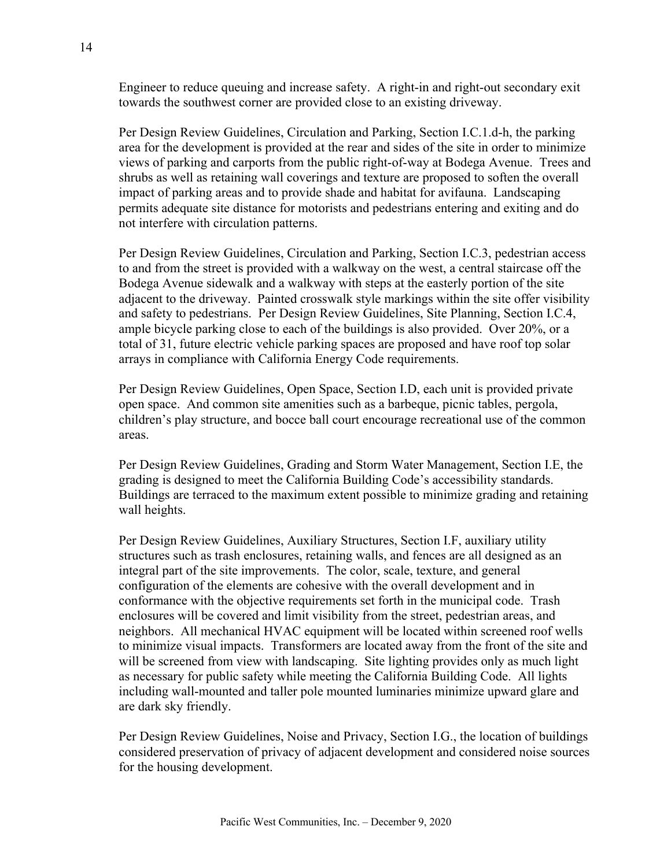Engineer to reduce queuing and increase safety. A right-in and right-out secondary exit towards the southwest corner are provided close to an existing driveway.

Per Design Review Guidelines, Circulation and Parking, Section I.C.1.d-h, the parking area for the development is provided at the rear and sides of the site in order to minimize views of parking and carports from the public right-of-way at Bodega Avenue. Trees and shrubs as well as retaining wall coverings and texture are proposed to soften the overall impact of parking areas and to provide shade and habitat for avifauna. Landscaping permits adequate site distance for motorists and pedestrians entering and exiting and do not interfere with circulation patterns.

Per Design Review Guidelines, Circulation and Parking, Section I.C.3, pedestrian access to and from the street is provided with a walkway on the west, a central staircase off the Bodega Avenue sidewalk and a walkway with steps at the easterly portion of the site adjacent to the driveway. Painted crosswalk style markings within the site offer visibility and safety to pedestrians. Per Design Review Guidelines, Site Planning, Section I.C.4, ample bicycle parking close to each of the buildings is also provided. Over 20%, or a total of 31, future electric vehicle parking spaces are proposed and have roof top solar arrays in compliance with California Energy Code requirements.

Per Design Review Guidelines, Open Space, Section I.D, each unit is provided private open space. And common site amenities such as a barbeque, picnic tables, pergola, children's play structure, and bocce ball court encourage recreational use of the common areas.

Per Design Review Guidelines, Grading and Storm Water Management, Section I.E, the grading is designed to meet the California Building Code's accessibility standards. Buildings are terraced to the maximum extent possible to minimize grading and retaining wall heights.

Per Design Review Guidelines, Auxiliary Structures, Section I.F, auxiliary utility structures such as trash enclosures, retaining walls, and fences are all designed as an integral part of the site improvements. The color, scale, texture, and general configuration of the elements are cohesive with the overall development and in conformance with the objective requirements set forth in the municipal code. Trash enclosures will be covered and limit visibility from the street, pedestrian areas, and neighbors. All mechanical HVAC equipment will be located within screened roof wells to minimize visual impacts. Transformers are located away from the front of the site and will be screened from view with landscaping. Site lighting provides only as much light as necessary for public safety while meeting the California Building Code. All lights including wall-mounted and taller pole mounted luminaries minimize upward glare and are dark sky friendly.

Per Design Review Guidelines, Noise and Privacy, Section I.G., the location of buildings considered preservation of privacy of adjacent development and considered noise sources for the housing development.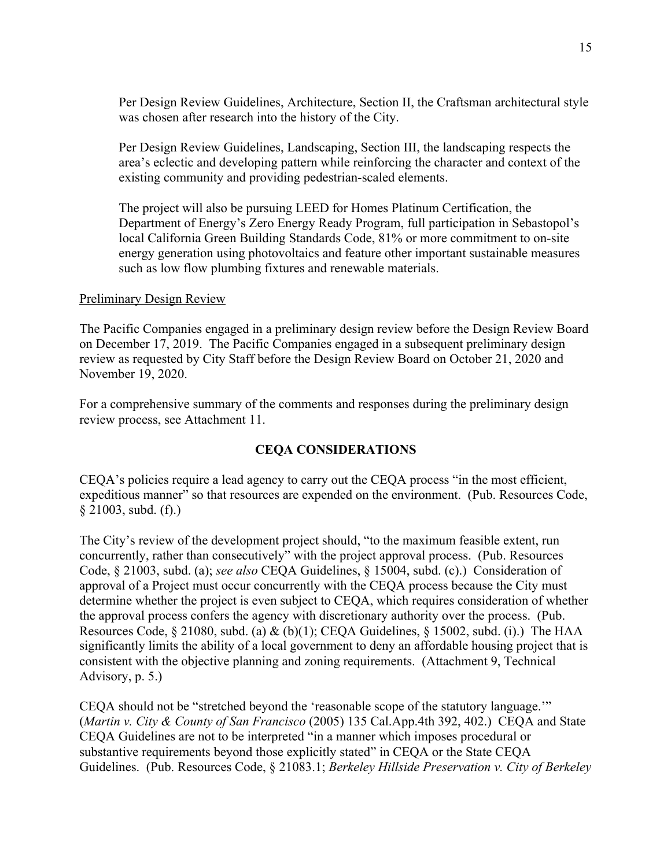Per Design Review Guidelines, Architecture, Section II, the Craftsman architectural style was chosen after research into the history of the City.

Per Design Review Guidelines, Landscaping, Section III, the landscaping respects the area's eclectic and developing pattern while reinforcing the character and context of the existing community and providing pedestrian-scaled elements.

The project will also be pursuing LEED for Homes Platinum Certification, the Department of Energy's Zero Energy Ready Program, full participation in Sebastopol's local California Green Building Standards Code, 81% or more commitment to on-site energy generation using photovoltaics and feature other important sustainable measures such as low flow plumbing fixtures and renewable materials.

#### Preliminary Design Review

The Pacific Companies engaged in a preliminary design review before the Design Review Board on December 17, 2019. The Pacific Companies engaged in a subsequent preliminary design review as requested by City Staff before the Design Review Board on October 21, 2020 and November 19, 2020.

For a comprehensive summary of the comments and responses during the preliminary design review process, see Attachment 11.

#### **CEQA CONSIDERATIONS**

CEQA's policies require a lead agency to carry out the CEQA process "in the most efficient, expeditious manner" so that resources are expended on the environment. (Pub. Resources Code, § 21003, subd. (f).)

The City's review of the development project should, "to the maximum feasible extent, run concurrently, rather than consecutively" with the project approval process. (Pub. Resources Code, § 21003, subd. (a); *see also* CEQA Guidelines, § 15004, subd. (c).) Consideration of approval of a Project must occur concurrently with the CEQA process because the City must determine whether the project is even subject to CEQA, which requires consideration of whether the approval process confers the agency with discretionary authority over the process. (Pub. Resources Code, § 21080, subd. (a) & (b)(1); CEQA Guidelines, § 15002, subd. (i).) The HAA significantly limits the ability of a local government to deny an affordable housing project that is consistent with the objective planning and zoning requirements. (Attachment 9, Technical Advisory, p. 5.)

CEQA should not be "stretched beyond the 'reasonable scope of the statutory language.'" (*Martin v. City & County of San Francisco* (2005) 135 Cal.App.4th 392, 402.) CEQA and State CEQA Guidelines are not to be interpreted "in a manner which imposes procedural or substantive requirements beyond those explicitly stated" in CEQA or the State CEQA Guidelines. (Pub. Resources Code, § 21083.1; *Berkeley Hillside Preservation v. City of Berkeley*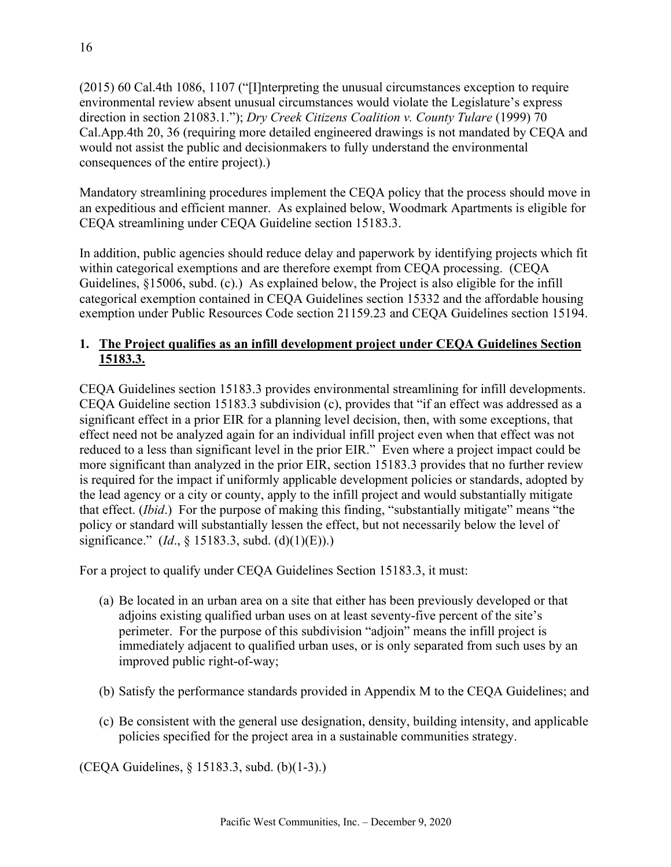(2015) 60 Cal.4th 1086, 1107 ("[I]nterpreting the unusual circumstances exception to require environmental review absent unusual circumstances would violate the Legislature's express direction in section 21083.1."); *Dry Creek Citizens Coalition v. County Tulare* (1999) 70 Cal.App.4th 20, 36 (requiring more detailed engineered drawings is not mandated by CEQA and would not assist the public and decisionmakers to fully understand the environmental consequences of the entire project).)

Mandatory streamlining procedures implement the CEQA policy that the process should move in an expeditious and efficient manner. As explained below, Woodmark Apartments is eligible for CEQA streamlining under CEQA Guideline section 15183.3.

In addition, public agencies should reduce delay and paperwork by identifying projects which fit within categorical exemptions and are therefore exempt from CEQA processing. (CEQA Guidelines, §15006, subd. (c).) As explained below, the Project is also eligible for the infill categorical exemption contained in CEQA Guidelines section 15332 and the affordable housing exemption under Public Resources Code section 21159.23 and CEQA Guidelines section 15194.

### **1. The Project qualifies as an infill development project under CEQA Guidelines Section 15183.3.**

CEQA Guidelines section 15183.3 provides environmental streamlining for infill developments. CEQA Guideline section 15183.3 subdivision (c), provides that "if an effect was addressed as a significant effect in a prior EIR for a planning level decision, then, with some exceptions, that effect need not be analyzed again for an individual infill project even when that effect was not reduced to a less than significant level in the prior EIR." Even where a project impact could be more significant than analyzed in the prior EIR, section 15183.3 provides that no further review is required for the impact if uniformly applicable development policies or standards, adopted by the lead agency or a city or county, apply to the infill project and would substantially mitigate that effect. (*Ibid*.) For the purpose of making this finding, "substantially mitigate" means "the policy or standard will substantially lessen the effect, but not necessarily below the level of significance." (*Id*., § 15183.3, subd. (d)(1)(E)).)

For a project to qualify under CEQA Guidelines Section 15183.3, it must:

- (a) Be located in an urban area on a site that either has been previously developed or that adjoins existing qualified urban uses on at least seventy-five percent of the site's perimeter. For the purpose of this subdivision "adjoin" means the infill project is immediately adjacent to qualified urban uses, or is only separated from such uses by an improved public right-of-way;
- (b) Satisfy the performance standards provided in Appendix M to the CEQA Guidelines; and
- (c) Be consistent with the general use designation, density, building intensity, and applicable policies specified for the project area in a sustainable communities strategy.

(CEQA Guidelines, § 15183.3, subd. (b)(1-3).)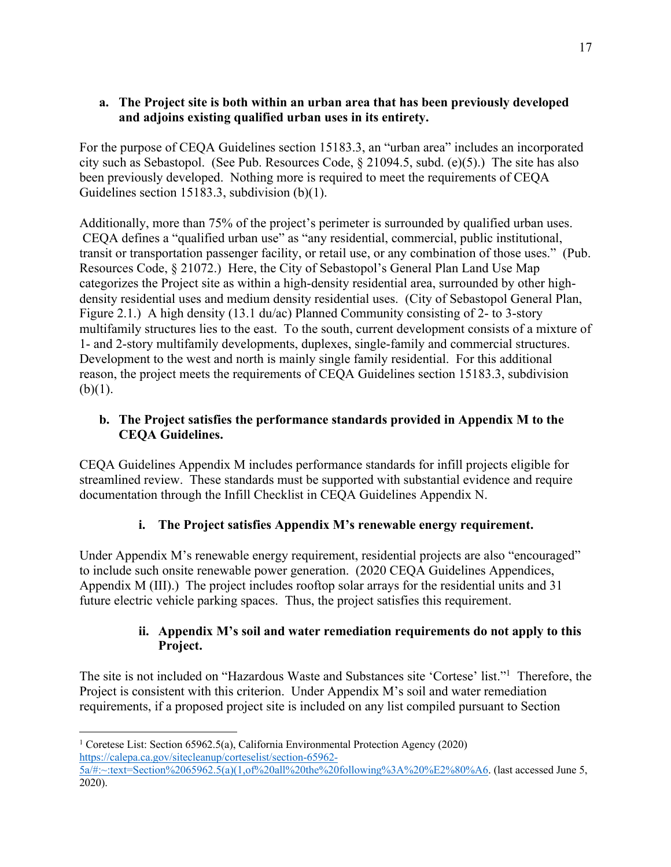### **a. The Project site is both within an urban area that has been previously developed and adjoins existing qualified urban uses in its entirety.**

For the purpose of CEQA Guidelines section 15183.3, an "urban area" includes an incorporated city such as Sebastopol. (See Pub. Resources Code, § 21094.5, subd. (e)(5).) The site has also been previously developed. Nothing more is required to meet the requirements of CEQA Guidelines section 15183.3, subdivision (b)(1).

Additionally, more than 75% of the project's perimeter is surrounded by qualified urban uses. CEQA defines a "qualified urban use" as "any residential, commercial, public institutional, transit or transportation passenger facility, or retail use, or any combination of those uses." (Pub. Resources Code, § 21072.) Here, the City of Sebastopol's General Plan Land Use Map categorizes the Project site as within a high-density residential area, surrounded by other highdensity residential uses and medium density residential uses. (City of Sebastopol General Plan, Figure 2.1.) A high density (13.1 du/ac) Planned Community consisting of 2- to 3-story multifamily structures lies to the east. To the south, current development consists of a mixture of 1- and 2-story multifamily developments, duplexes, single-family and commercial structures. Development to the west and north is mainly single family residential. For this additional reason, the project meets the requirements of CEQA Guidelines section 15183.3, subdivision  $(b)(1)$ .

### **b. The Project satisfies the performance standards provided in Appendix M to the CEQA Guidelines.**

CEQA Guidelines Appendix M includes performance standards for infill projects eligible for streamlined review. These standards must be supported with substantial evidence and require documentation through the Infill Checklist in CEQA Guidelines Appendix N.

# **i. The Project satisfies Appendix M's renewable energy requirement.**

Under Appendix M's renewable energy requirement, residential projects are also "encouraged" to include such onsite renewable power generation. (2020 CEQA Guidelines Appendices, Appendix M (III).) The project includes rooftop solar arrays for the residential units and 31 future electric vehicle parking spaces. Thus, the project satisfies this requirement.

### **ii. Appendix M's soil and water remediation requirements do not apply to this Project.**

The site is not included on "Hazardous Waste and Substances site 'Cortese' list."1 Therefore, the Project is consistent with this criterion. Under Appendix M's soil and water remediation requirements, if a proposed project site is included on any list compiled pursuant to Section

<sup>&</sup>lt;sup>1</sup> Coretese List: Section 65962.5(a), California Environmental Protection Agency (2020) https://calepa.ca.gov/sitecleanup/corteselist/section-65962- 5a/#:~:text=Section%2065962.5(a)(1,of%20all%20the%20following%3A%20%E2%80%A6. (last accessed June 5, 2020).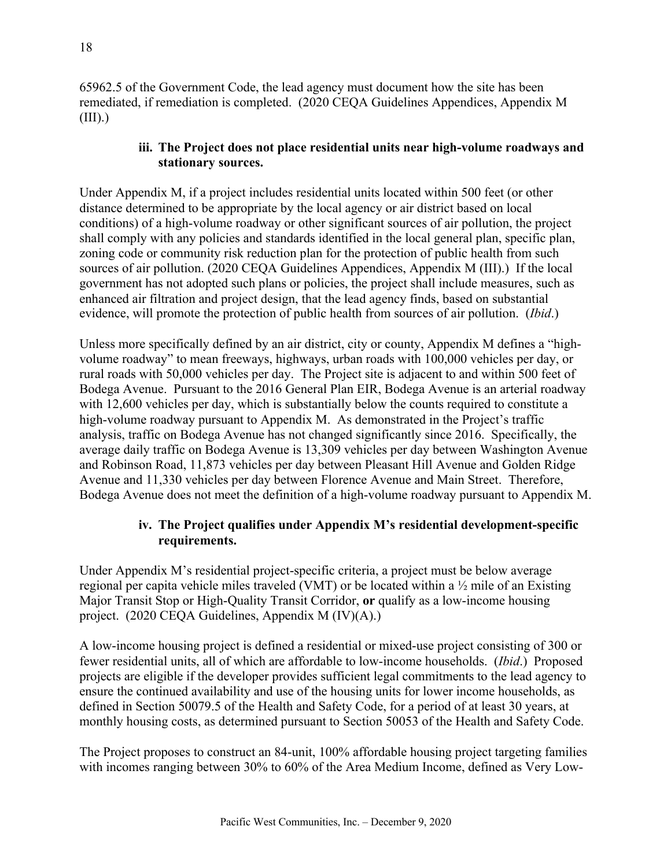65962.5 of the Government Code, the lead agency must document how the site has been remediated, if remediation is completed. (2020 CEQA Guidelines Appendices, Appendix M  $(III).$ 

### **iii. The Project does not place residential units near high-volume roadways and stationary sources.**

Under Appendix M, if a project includes residential units located within 500 feet (or other distance determined to be appropriate by the local agency or air district based on local conditions) of a high-volume roadway or other significant sources of air pollution, the project shall comply with any policies and standards identified in the local general plan, specific plan, zoning code or community risk reduction plan for the protection of public health from such sources of air pollution. (2020 CEQA Guidelines Appendices, Appendix M (III).) If the local government has not adopted such plans or policies, the project shall include measures, such as enhanced air filtration and project design, that the lead agency finds, based on substantial evidence, will promote the protection of public health from sources of air pollution. (*Ibid*.)

Unless more specifically defined by an air district, city or county, Appendix M defines a "highvolume roadway" to mean freeways, highways, urban roads with 100,000 vehicles per day, or rural roads with 50,000 vehicles per day. The Project site is adjacent to and within 500 feet of Bodega Avenue. Pursuant to the 2016 General Plan EIR, Bodega Avenue is an arterial roadway with 12,600 vehicles per day, which is substantially below the counts required to constitute a high-volume roadway pursuant to Appendix M. As demonstrated in the Project's traffic analysis, traffic on Bodega Avenue has not changed significantly since 2016. Specifically, the average daily traffic on Bodega Avenue is 13,309 vehicles per day between Washington Avenue and Robinson Road, 11,873 vehicles per day between Pleasant Hill Avenue and Golden Ridge Avenue and 11,330 vehicles per day between Florence Avenue and Main Street. Therefore, Bodega Avenue does not meet the definition of a high-volume roadway pursuant to Appendix M.

### **iv. The Project qualifies under Appendix M's residential development-specific requirements.**

Under Appendix M's residential project-specific criteria, a project must be below average regional per capita vehicle miles traveled (VMT) or be located within a ½ mile of an Existing Major Transit Stop or High-Quality Transit Corridor, **or** qualify as a low-income housing project. (2020 CEQA Guidelines, Appendix M (IV)(A).)

A low-income housing project is defined a residential or mixed-use project consisting of 300 or fewer residential units, all of which are affordable to low-income households. (*Ibid*.) Proposed projects are eligible if the developer provides sufficient legal commitments to the lead agency to ensure the continued availability and use of the housing units for lower income households, as defined in Section 50079.5 of the Health and Safety Code, for a period of at least 30 years, at monthly housing costs, as determined pursuant to Section 50053 of the Health and Safety Code.

The Project proposes to construct an 84-unit, 100% affordable housing project targeting families with incomes ranging between 30% to 60% of the Area Medium Income, defined as Very Low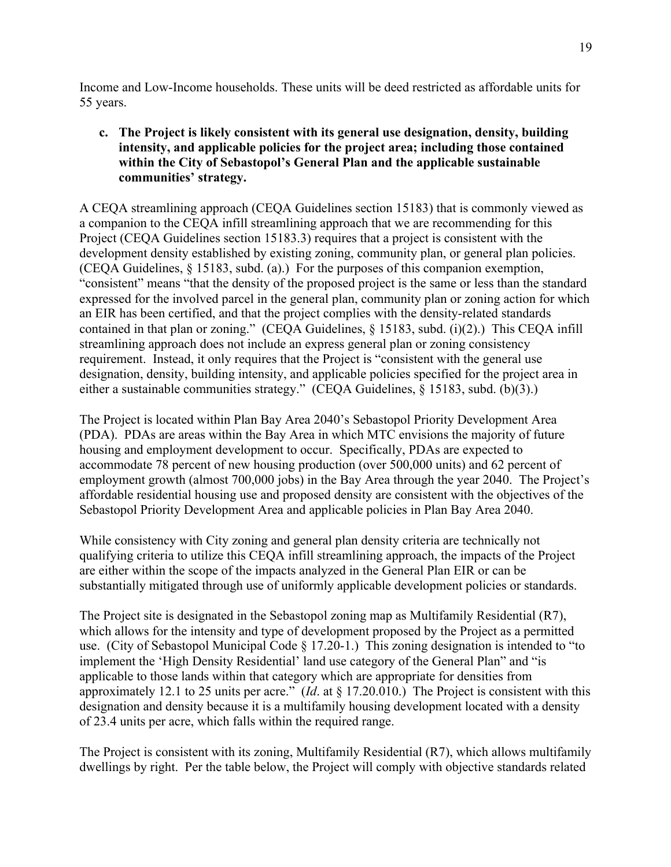Income and Low-Income households. These units will be deed restricted as affordable units for 55 years.

### **c. The Project is likely consistent with its general use designation, density, building intensity, and applicable policies for the project area; including those contained within the City of Sebastopol's General Plan and the applicable sustainable communities' strategy.**

A CEQA streamlining approach (CEQA Guidelines section 15183) that is commonly viewed as a companion to the CEQA infill streamlining approach that we are recommending for this Project (CEQA Guidelines section 15183.3) requires that a project is consistent with the development density established by existing zoning, community plan, or general plan policies. (CEQA Guidelines, § 15183, subd. (a).) For the purposes of this companion exemption, "consistent" means "that the density of the proposed project is the same or less than the standard expressed for the involved parcel in the general plan, community plan or zoning action for which an EIR has been certified, and that the project complies with the density-related standards contained in that plan or zoning." (CEQA Guidelines, § 15183, subd. (i)(2).) This CEQA infill streamlining approach does not include an express general plan or zoning consistency requirement. Instead, it only requires that the Project is "consistent with the general use designation, density, building intensity, and applicable policies specified for the project area in either a sustainable communities strategy." (CEQA Guidelines, § 15183, subd. (b)(3).)

The Project is located within Plan Bay Area 2040's Sebastopol Priority Development Area (PDA). PDAs are areas within the Bay Area in which MTC envisions the majority of future housing and employment development to occur. Specifically, PDAs are expected to accommodate 78 percent of new housing production (over 500,000 units) and 62 percent of employment growth (almost 700,000 jobs) in the Bay Area through the year 2040. The Project's affordable residential housing use and proposed density are consistent with the objectives of the Sebastopol Priority Development Area and applicable policies in Plan Bay Area 2040.

While consistency with City zoning and general plan density criteria are technically not qualifying criteria to utilize this CEQA infill streamlining approach, the impacts of the Project are either within the scope of the impacts analyzed in the General Plan EIR or can be substantially mitigated through use of uniformly applicable development policies or standards.

The Project site is designated in the Sebastopol zoning map as Multifamily Residential (R7), which allows for the intensity and type of development proposed by the Project as a permitted use. (City of Sebastopol Municipal Code § 17.20-1.) This zoning designation is intended to "to implement the 'High Density Residential' land use category of the General Plan" and "is applicable to those lands within that category which are appropriate for densities from approximately 12.1 to 25 units per acre." (*Id*. at § 17.20.010.) The Project is consistent with this designation and density because it is a multifamily housing development located with a density of 23.4 units per acre, which falls within the required range.

The Project is consistent with its zoning, Multifamily Residential (R7), which allows multifamily dwellings by right. Per the table below, the Project will comply with objective standards related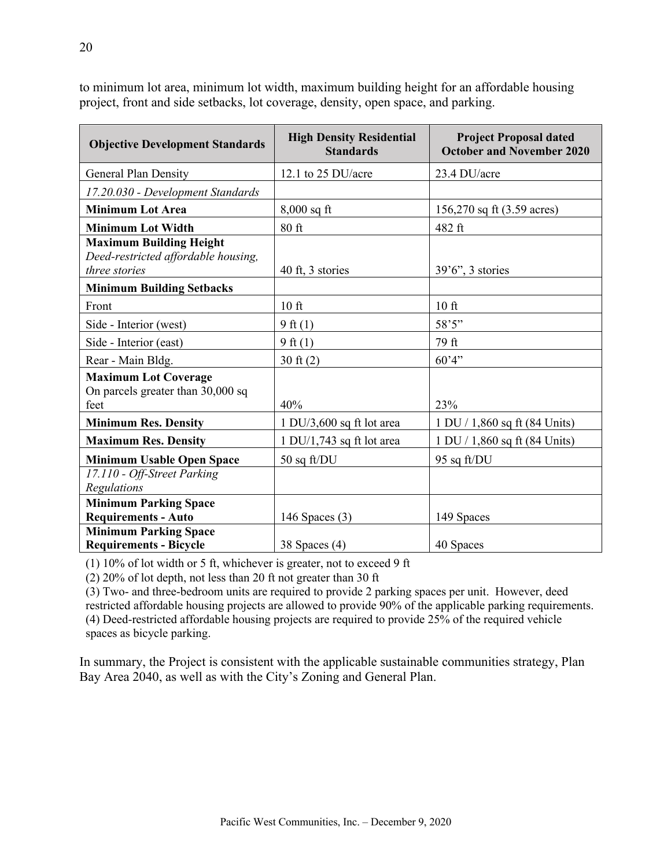| <b>Objective Development Standards</b>                                                 | <b>High Density Residential</b><br><b>Standards</b> | <b>Project Proposal dated</b><br><b>October and November 2020</b> |
|----------------------------------------------------------------------------------------|-----------------------------------------------------|-------------------------------------------------------------------|
| General Plan Density                                                                   | 12.1 to 25 DU/acre                                  | 23.4 DU/acre                                                      |
| 17.20.030 - Development Standards                                                      |                                                     |                                                                   |
| <b>Minimum Lot Area</b>                                                                | $8,000$ sq ft                                       | 156,270 sq ft (3.59 acres)                                        |
| <b>Minimum Lot Width</b>                                                               | $80$ ft                                             | 482 ft                                                            |
| <b>Maximum Building Height</b><br>Deed-restricted affordable housing,<br>three stories | 40 ft, 3 stories                                    | $39'6''$ , 3 stories                                              |
| <b>Minimum Building Setbacks</b>                                                       |                                                     |                                                                   |
| Front                                                                                  | $10$ ft                                             | $10$ ft                                                           |
| Side - Interior (west)                                                                 | $9$ ft $(1)$                                        | 58'5"                                                             |
| Side - Interior (east)                                                                 | $9$ ft $(1)$                                        | 79 ft                                                             |
| Rear - Main Bldg.                                                                      | $30 \text{ ft} (2)$                                 | 60'4"                                                             |
| <b>Maximum Lot Coverage</b><br>On parcels greater than 30,000 sq<br>feet               | 40%                                                 | 23%                                                               |
| <b>Minimum Res. Density</b>                                                            | $1$ DU/3,600 sq ft lot area                         | 1 DU / 1,860 sq ft (84 Units)                                     |
| <b>Maximum Res. Density</b>                                                            | $1$ DU/1,743 sq ft lot area                         | 1 DU / 1,860 sq ft (84 Units)                                     |
| <b>Minimum Usable Open Space</b>                                                       | $50$ sq ft/DU                                       | 95 sq ft/DU                                                       |
| 17.110 - Off-Street Parking<br>Regulations                                             |                                                     |                                                                   |
| <b>Minimum Parking Space</b>                                                           |                                                     |                                                                   |
| <b>Requirements - Auto</b>                                                             | 146 Spaces $(3)$                                    | 149 Spaces                                                        |
| <b>Minimum Parking Space</b><br><b>Requirements - Bicycle</b>                          | 38 Spaces $(4)$                                     | 40 Spaces                                                         |

to minimum lot area, minimum lot width, maximum building height for an affordable housing project, front and side setbacks, lot coverage, density, open space, and parking.

(1) 10% of lot width or 5 ft, whichever is greater, not to exceed 9 ft

(2) 20% of lot depth, not less than 20 ft not greater than 30 ft

(3) Two- and three-bedroom units are required to provide 2 parking spaces per unit. However, deed restricted affordable housing projects are allowed to provide 90% of the applicable parking requirements. (4) Deed-restricted affordable housing projects are required to provide 25% of the required vehicle spaces as bicycle parking.

In summary, the Project is consistent with the applicable sustainable communities strategy, Plan Bay Area 2040, as well as with the City's Zoning and General Plan.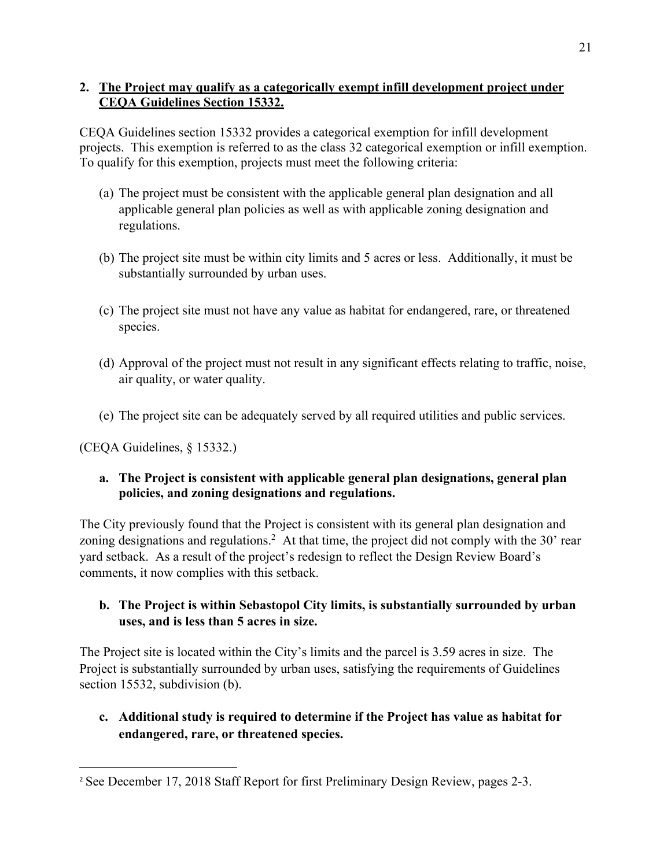### **2. The Project may qualify as a categorically exempt infill development project under CEQA Guidelines Section 15332.**

CEQA Guidelines section 15332 provides a categorical exemption for infill development projects. This exemption is referred to as the class 32 categorical exemption or infill exemption. To qualify for this exemption, projects must meet the following criteria:

- (a) The project must be consistent with the applicable general plan designation and all applicable general plan policies as well as with applicable zoning designation and regulations.
- (b) The project site must be within city limits and 5 acres or less. Additionally, it must be substantially surrounded by urban uses.
- (c) The project site must not have any value as habitat for endangered, rare, or threatened species.
- (d) Approval of the project must not result in any significant effects relating to traffic, noise, air quality, or water quality.
- (e) The project site can be adequately served by all required utilities and public services.

(CEQA Guidelines, § 15332.)

### **a. The Project is consistent with applicable general plan designations, general plan policies, and zoning designations and regulations.**

The City previously found that the Project is consistent with its general plan designation and zoning designations and regulations.<sup>2</sup> At that time, the project did not comply with the 30' rear yard setback. As a result of the project's redesign to reflect the Design Review Board's comments, it now complies with this setback.

## **b. The Project is within Sebastopol City limits, is substantially surrounded by urban uses, and is less than 5 acres in size.**

The Project site is located within the City's limits and the parcel is 3.59 acres in size. The Project is substantially surrounded by urban uses, satisfying the requirements of Guidelines section 15532, subdivision (b).

# **c. Additional study is required to determine if the Project has value as habitat for endangered, rare, or threatened species.**

<sup>2</sup> See December 17, 2018 Staff Report for first Preliminary Design Review, pages 2-3.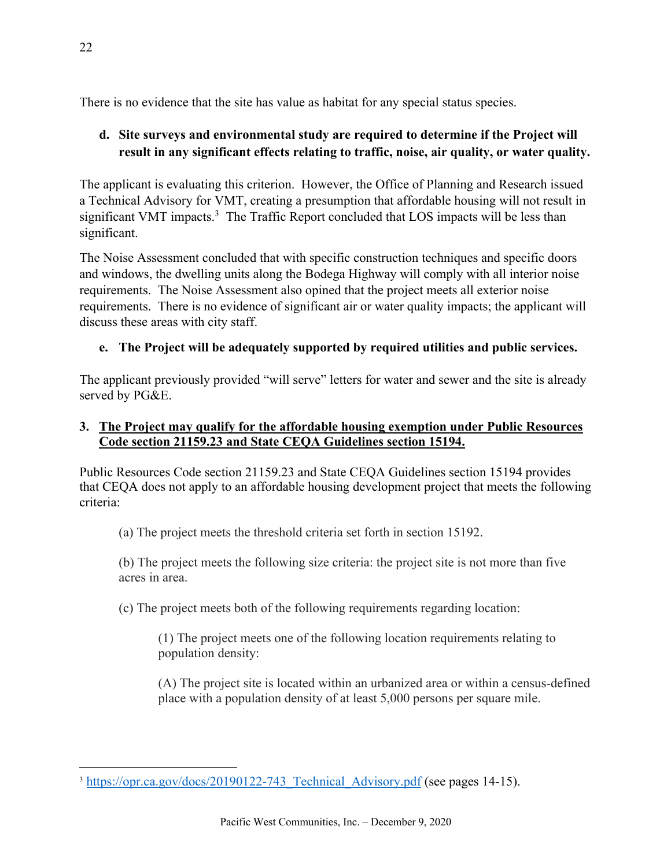There is no evidence that the site has value as habitat for any special status species.

# **d. Site surveys and environmental study are required to determine if the Project will result in any significant effects relating to traffic, noise, air quality, or water quality.**

The applicant is evaluating this criterion. However, the Office of Planning and Research issued a Technical Advisory for VMT, creating a presumption that affordable housing will not result in significant VMT impacts.<sup>3</sup> The Traffic Report concluded that LOS impacts will be less than significant.

The Noise Assessment concluded that with specific construction techniques and specific doors and windows, the dwelling units along the Bodega Highway will comply with all interior noise requirements. The Noise Assessment also opined that the project meets all exterior noise requirements. There is no evidence of significant air or water quality impacts; the applicant will discuss these areas with city staff.

## **e. The Project will be adequately supported by required utilities and public services.**

The applicant previously provided "will serve" letters for water and sewer and the site is already served by PG&E.

### **3. The Project may qualify for the affordable housing exemption under Public Resources Code section 21159.23 and State CEQA Guidelines section 15194.**

Public Resources Code section 21159.23 and State CEQA Guidelines section 15194 provides that CEQA does not apply to an affordable housing development project that meets the following criteria:

(a) The project meets the threshold criteria set forth in section 15192.

(b) The project meets the following size criteria: the project site is not more than five acres in area.

(c) The project meets both of the following requirements regarding location:

(1) The project meets one of the following location requirements relating to population density:

(A) The project site is located within an urbanized area or within a census-defined place with a population density of at least 5,000 persons per square mile.

<sup>&</sup>lt;sup>3</sup> https://opr.ca.gov/docs/20190122-743 Technical Advisory.pdf (see pages 14-15).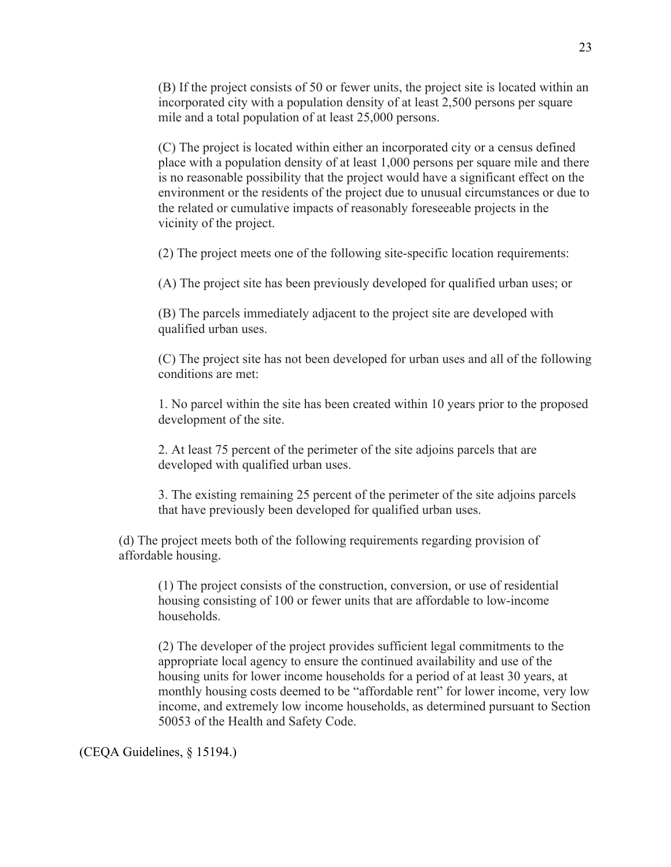(B) If the project consists of 50 or fewer units, the project site is located within an incorporated city with a population density of at least 2,500 persons per square mile and a total population of at least 25,000 persons.

(C) The project is located within either an incorporated city or a census defined place with a population density of at least 1,000 persons per square mile and there is no reasonable possibility that the project would have a significant effect on the environment or the residents of the project due to unusual circumstances or due to the related or cumulative impacts of reasonably foreseeable projects in the vicinity of the project.

(2) The project meets one of the following site-specific location requirements:

(A) The project site has been previously developed for qualified urban uses; or

(B) The parcels immediately adjacent to the project site are developed with qualified urban uses.

(C) The project site has not been developed for urban uses and all of the following conditions are met:

1. No parcel within the site has been created within 10 years prior to the proposed development of the site.

2. At least 75 percent of the perimeter of the site adjoins parcels that are developed with qualified urban uses.

3. The existing remaining 25 percent of the perimeter of the site adjoins parcels that have previously been developed for qualified urban uses.

(d) The project meets both of the following requirements regarding provision of affordable housing.

(1) The project consists of the construction, conversion, or use of residential housing consisting of 100 or fewer units that are affordable to low-income households.

(2) The developer of the project provides sufficient legal commitments to the appropriate local agency to ensure the continued availability and use of the housing units for lower income households for a period of at least 30 years, at monthly housing costs deemed to be "affordable rent" for lower income, very low income, and extremely low income households, as determined pursuant to Section 50053 of the Health and Safety Code.

(CEQA Guidelines, § 15194.)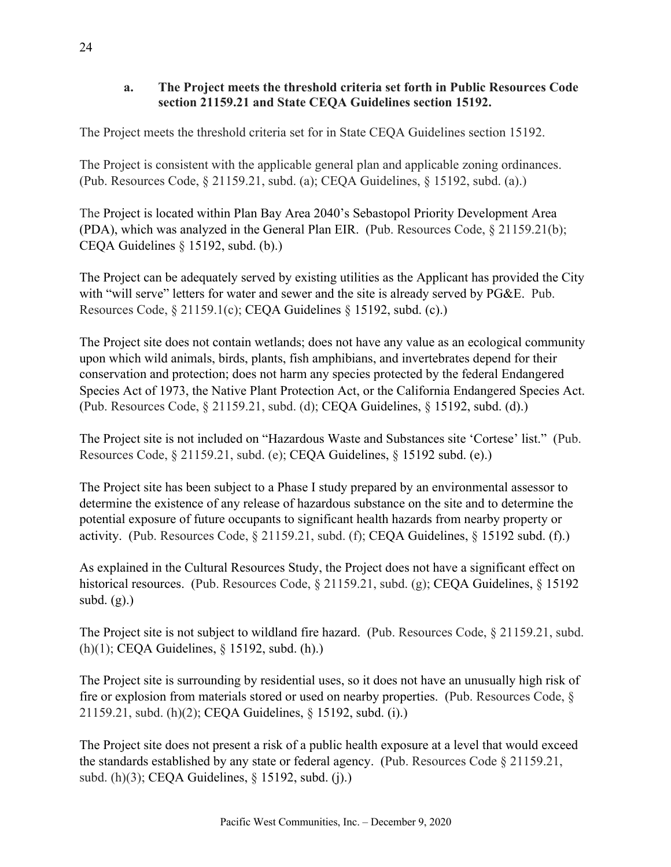### **a. The Project meets the threshold criteria set forth in Public Resources Code section 21159.21 and State CEQA Guidelines section 15192.**

The Project meets the threshold criteria set for in State CEQA Guidelines section 15192.

The Project is consistent with the applicable general plan and applicable zoning ordinances. (Pub. Resources Code, § 21159.21, subd. (a); CEQA Guidelines, § 15192, subd. (a).)

The Project is located within Plan Bay Area 2040's Sebastopol Priority Development Area (PDA), which was analyzed in the General Plan EIR. (Pub. Resources Code, § 21159.21(b); CEQA Guidelines § 15192, subd. (b).)

The Project can be adequately served by existing utilities as the Applicant has provided the City with "will serve" letters for water and sewer and the site is already served by PG&E. Pub. Resources Code, § 21159.1(c); CEQA Guidelines § 15192, subd. (c).)

The Project site does not contain wetlands; does not have any value as an ecological community upon which wild animals, birds, plants, fish amphibians, and invertebrates depend for their conservation and protection; does not harm any species protected by the federal Endangered Species Act of 1973, the Native Plant Protection Act, or the California Endangered Species Act. (Pub. Resources Code, § 21159.21, subd. (d); CEQA Guidelines, § 15192, subd. (d).)

The Project site is not included on "Hazardous Waste and Substances site 'Cortese' list." (Pub. Resources Code, § 21159.21, subd. (e); CEQA Guidelines, § 15192 subd. (e).)

The Project site has been subject to a Phase I study prepared by an environmental assessor to determine the existence of any release of hazardous substance on the site and to determine the potential exposure of future occupants to significant health hazards from nearby property or activity. (Pub. Resources Code, § 21159.21, subd. (f); CEQA Guidelines, § 15192 subd. (f).)

As explained in the Cultural Resources Study, the Project does not have a significant effect on historical resources. (Pub. Resources Code, § 21159.21, subd. (g); CEQA Guidelines, § 15192 subd.  $(g)$ .)

The Project site is not subject to wildland fire hazard. (Pub. Resources Code, § 21159.21, subd. (h)(1); CEQA Guidelines, § 15192, subd. (h).)

The Project site is surrounding by residential uses, so it does not have an unusually high risk of fire or explosion from materials stored or used on nearby properties. (Pub. Resources Code, § 21159.21, subd. (h)(2); CEQA Guidelines, § 15192, subd. (i).)

The Project site does not present a risk of a public health exposure at a level that would exceed the standards established by any state or federal agency. (Pub. Resources Code § 21159.21, subd. (h)(3); CEQA Guidelines, § 15192, subd. (j).)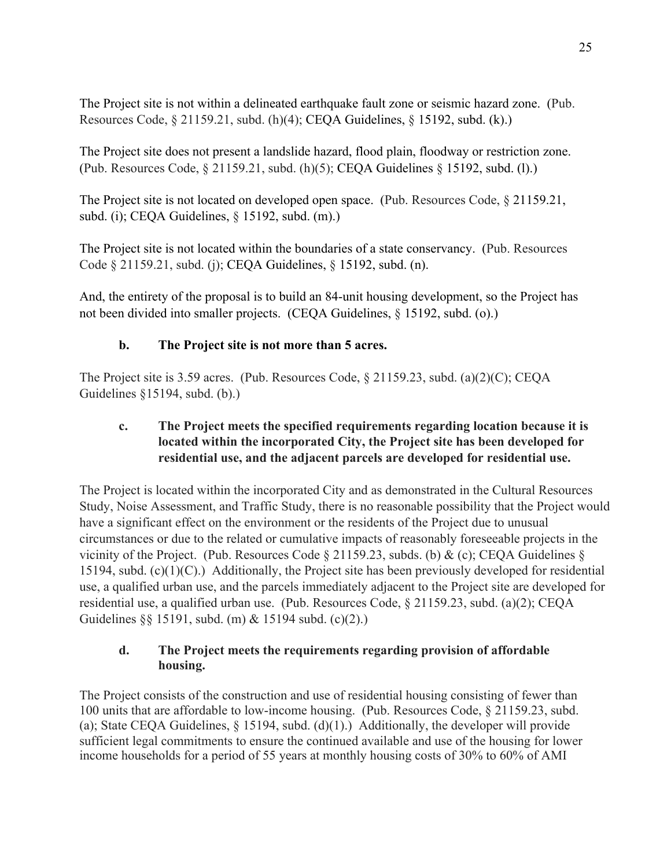The Project site is not within a delineated earthquake fault zone or seismic hazard zone. (Pub. Resources Code, § 21159.21, subd. (h)(4); CEQA Guidelines, § 15192, subd. (k).)

The Project site does not present a landslide hazard, flood plain, floodway or restriction zone. (Pub. Resources Code, § 21159.21, subd. (h)(5); CEQA Guidelines § 15192, subd. (l).)

The Project site is not located on developed open space. (Pub. Resources Code, § 21159.21, subd. (i); CEQA Guidelines, § 15192, subd. (m).)

The Project site is not located within the boundaries of a state conservancy. (Pub. Resources Code § 21159.21, subd. (j); CEQA Guidelines, § 15192, subd. (n).

And, the entirety of the proposal is to build an 84-unit housing development, so the Project has not been divided into smaller projects. (CEQA Guidelines, § 15192, subd. (o).)

### **b. The Project site is not more than 5 acres.**

The Project site is 3.59 acres. (Pub. Resources Code, § 21159.23, subd. (a)(2)(C); CEQA Guidelines §15194, subd. (b).)

### **c. The Project meets the specified requirements regarding location because it is located within the incorporated City, the Project site has been developed for residential use, and the adjacent parcels are developed for residential use.**

The Project is located within the incorporated City and as demonstrated in the Cultural Resources Study, Noise Assessment, and Traffic Study, there is no reasonable possibility that the Project would have a significant effect on the environment or the residents of the Project due to unusual circumstances or due to the related or cumulative impacts of reasonably foreseeable projects in the vicinity of the Project. (Pub. Resources Code  $\S$  21159.23, subds. (b) & (c); CEQA Guidelines  $\S$ 15194, subd. (c)(1)(C).) Additionally, the Project site has been previously developed for residential use, a qualified urban use, and the parcels immediately adjacent to the Project site are developed for residential use, a qualified urban use. (Pub. Resources Code, § 21159.23, subd. (a)(2); CEQA Guidelines §§ 15191, subd. (m) & 15194 subd. (c)(2).)

### **d. The Project meets the requirements regarding provision of affordable housing.**

The Project consists of the construction and use of residential housing consisting of fewer than 100 units that are affordable to low-income housing. (Pub. Resources Code, § 21159.23, subd. (a); State CEQA Guidelines,  $\S$  15194, subd. (d)(1).) Additionally, the developer will provide sufficient legal commitments to ensure the continued available and use of the housing for lower income households for a period of 55 years at monthly housing costs of 30% to 60% of AMI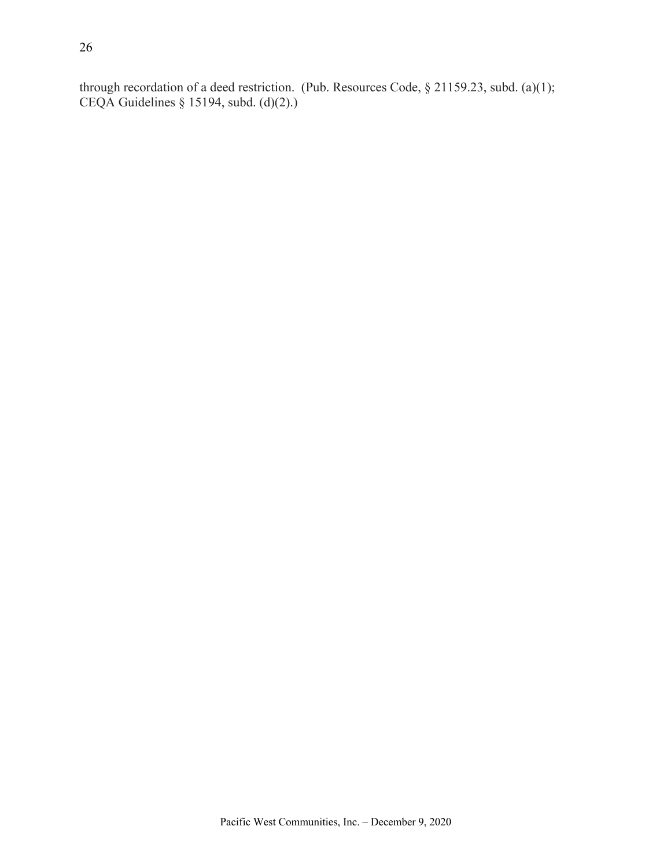through recordation of a deed restriction. (Pub. Resources Code, § 21159.23, subd. (a)(1); CEQA Guidelines § 15194, subd. (d)(2).)